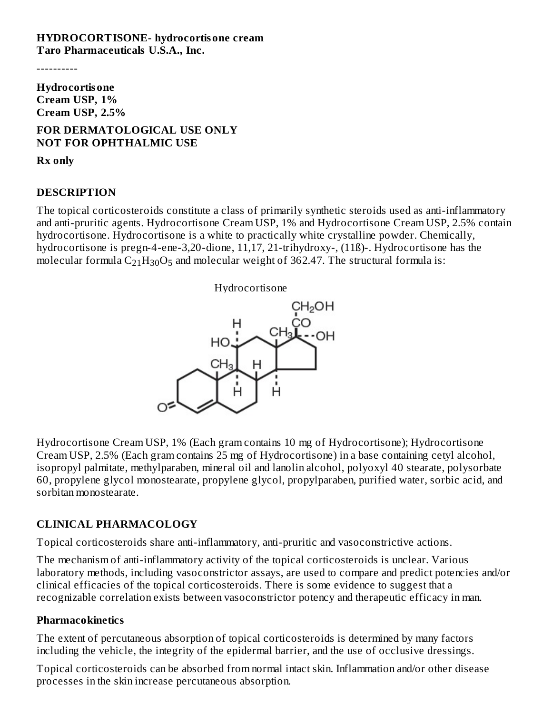#### **HYDROCORTISONE- hydrocortisone cream Taro Pharmaceuticals U.S.A., Inc.**

----------

**Hydrocortisone Cream USP, 1% Cream USP, 2.5%**

#### **FOR DERMATOLOGICAL USE ONLY NOT FOR OPHTHALMIC USE**

**Rx only**

#### **DESCRIPTION**

The topical corticosteroids constitute a class of primarily synthetic steroids used as anti-inflammatory and anti-pruritic agents. Hydrocortisone Cream USP, 1% and Hydrocortisone Cream USP, 2.5% contain hydrocortisone. Hydrocortisone is a white to practically white crystalline powder. Chemically, hydrocortisone is pregn-4-ene-3,20-dione, 11,17, 21-trihydroxy-, (11ß)-. Hydrocortisone has the molecular formula  $\rm{C_{21}H_{30}O_5}$  and molecular weight of 362.47. The structural formula is:



Hydrocortisone Cream USP, 1% (Each gram contains 10 mg of Hydrocortisone); Hydrocortisone Cream USP, 2.5% (Each gram contains 25 mg of Hydrocortisone) in a base containing cetyl alcohol, isopropyl palmitate, methylparaben, mineral oil and lanolin alcohol, polyoxyl 40 stearate, polysorbate 60, propylene glycol monostearate, propylene glycol, propylparaben, purified water, sorbic acid, and sorbitan monostearate.

# **CLINICAL PHARMACOLOGY**

Topical corticosteroids share anti-inflammatory, anti-pruritic and vasoconstrictive actions.

The mechanism of anti-inflammatory activity of the topical corticosteroids is unclear. Various laboratory methods, including vasoconstrictor assays, are used to compare and predict potencies and/or clinical efficacies of the topical corticosteroids. There is some evidence to suggest that a recognizable correlation exists between vasoconstrictor potency and therapeutic efficacy in man.

#### **Pharmacokinetics**

The extent of percutaneous absorption of topical corticosteroids is determined by many factors including the vehicle, the integrity of the epidermal barrier, and the use of occlusive dressings.

Topical corticosteroids can be absorbed from normal intact skin. Inflammation and/or other disease processes in the skin increase percutaneous absorption.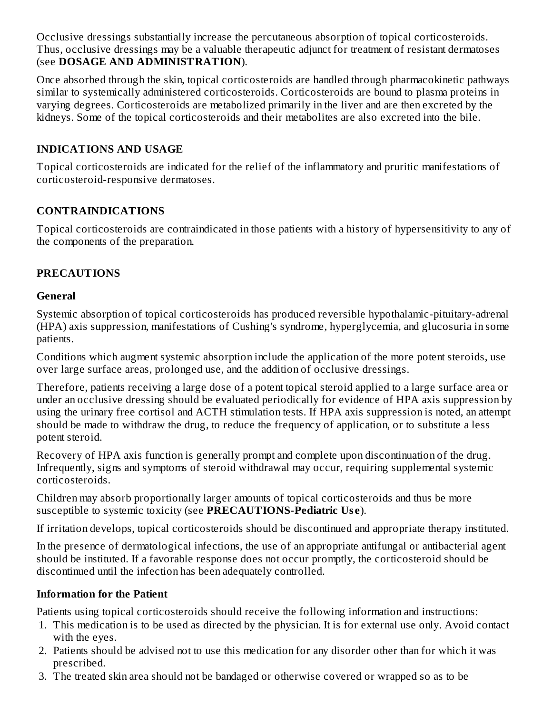Occlusive dressings substantially increase the percutaneous absorption of topical corticosteroids. Thus, occlusive dressings may be a valuable therapeutic adjunct for treatment of resistant dermatoses (see **DOSAGE AND ADMINISTRATION**).

Once absorbed through the skin, topical corticosteroids are handled through pharmacokinetic pathways similar to systemically administered corticosteroids. Corticosteroids are bound to plasma proteins in varying degrees. Corticosteroids are metabolized primarily in the liver and are then excreted by the kidneys. Some of the topical corticosteroids and their metabolites are also excreted into the bile.

# **INDICATIONS AND USAGE**

Topical corticosteroids are indicated for the relief of the inflammatory and pruritic manifestations of corticosteroid-responsive dermatoses.

# **CONTRAINDICATIONS**

Topical corticosteroids are contraindicated in those patients with a history of hypersensitivity to any of the components of the preparation.

# **PRECAUTIONS**

## **General**

Systemic absorption of topical corticosteroids has produced reversible hypothalamic-pituitary-adrenal (HPA) axis suppression, manifestations of Cushing's syndrome, hyperglycemia, and glucosuria in some patients.

Conditions which augment systemic absorption include the application of the more potent steroids, use over large surface areas, prolonged use, and the addition of occlusive dressings.

Therefore, patients receiving a large dose of a potent topical steroid applied to a large surface area or under an occlusive dressing should be evaluated periodically for evidence of HPA axis suppression by using the urinary free cortisol and ACTH stimulation tests. If HPA axis suppression is noted, an attempt should be made to withdraw the drug, to reduce the frequency of application, or to substitute a less potent steroid.

Recovery of HPA axis function is generally prompt and complete upon discontinuation of the drug. Infrequently, signs and symptoms of steroid withdrawal may occur, requiring supplemental systemic corticosteroids.

Children may absorb proportionally larger amounts of topical corticosteroids and thus be more susceptible to systemic toxicity (see **PRECAUTIONS-Pediatric Us e**).

If irritation develops, topical corticosteroids should be discontinued and appropriate therapy instituted.

In the presence of dermatological infections, the use of an appropriate antifungal or antibacterial agent should be instituted. If a favorable response does not occur promptly, the corticosteroid should be discontinued until the infection has been adequately controlled.

# **Information for the Patient**

Patients using topical corticosteroids should receive the following information and instructions:

- 1. This medication is to be used as directed by the physician. It is for external use only. Avoid contact with the eyes.
- 2. Patients should be advised not to use this medication for any disorder other than for which it was prescribed.
- 3. The treated skin area should not be bandaged or otherwise covered or wrapped so as to be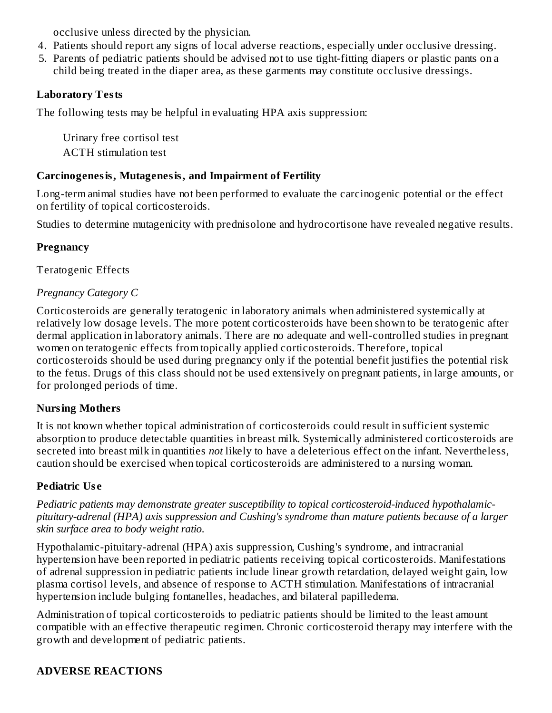occlusive unless directed by the physician.

- 4. Patients should report any signs of local adverse reactions, especially under occlusive dressing.
- 5. Parents of pediatric patients should be advised not to use tight-fitting diapers or plastic pants on a child being treated in the diaper area, as these garments may constitute occlusive dressings.

# **Laboratory Tests**

The following tests may be helpful in evaluating HPA axis suppression:

Urinary free cortisol test ACTH stimulation test

## **Carcinogenesis, Mutagenesis, and Impairment of Fertility**

Long-term animal studies have not been performed to evaluate the carcinogenic potential or the effect on fertility of topical corticosteroids.

Studies to determine mutagenicity with prednisolone and hydrocortisone have revealed negative results.

# **Pregnancy**

Teratogenic Effects

## *Pregnancy Category C*

Corticosteroids are generally teratogenic in laboratory animals when administered systemically at relatively low dosage levels. The more potent corticosteroids have been shown to be teratogenic after dermal application in laboratory animals. There are no adequate and well-controlled studies in pregnant women on teratogenic effects from topically applied corticosteroids. Therefore, topical corticosteroids should be used during pregnancy only if the potential benefit justifies the potential risk to the fetus. Drugs of this class should not be used extensively on pregnant patients, in large amounts, or for prolonged periods of time.

# **Nursing Mothers**

It is not known whether topical administration of corticosteroids could result in sufficient systemic absorption to produce detectable quantities in breast milk. Systemically administered corticosteroids are secreted into breast milk in quantities *not* likely to have a deleterious effect on the infant. Nevertheless, caution should be exercised when topical corticosteroids are administered to a nursing woman.

# **Pediatric Us e**

*Pediatric patients may demonstrate greater susceptibility to topical corticosteroid-induced hypothalamicpituitary-adrenal (HPA) axis suppression and Cushing's syndrome than mature patients because of a larger skin surface area to body weight ratio.*

Hypothalamic-pituitary-adrenal (HPA) axis suppression, Cushing's syndrome, and intracranial hypertension have been reported in pediatric patients receiving topical corticosteroids. Manifestations of adrenal suppression in pediatric patients include linear growth retardation, delayed weight gain, low plasma cortisol levels, and absence of response to ACTH stimulation. Manifestations of intracranial hypertension include bulging fontanelles, headaches, and bilateral papilledema.

Administration of topical corticosteroids to pediatric patients should be limited to the least amount compatible with an effective therapeutic regimen. Chronic corticosteroid therapy may interfere with the growth and development of pediatric patients.

# **ADVERSE REACTIONS**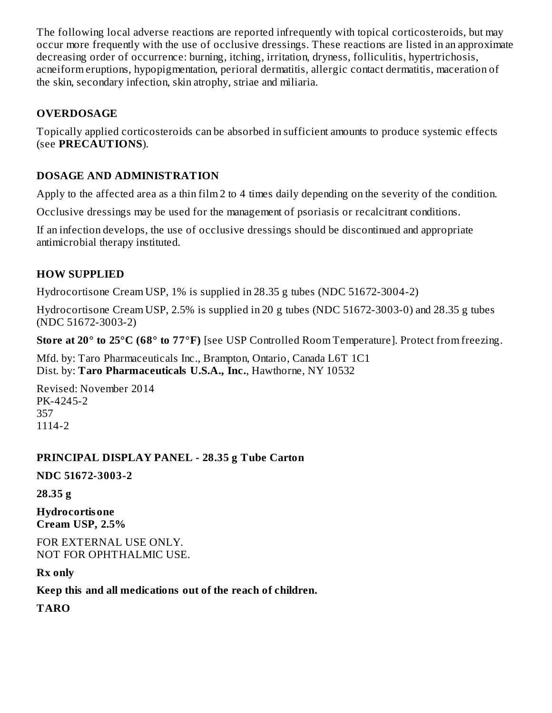The following local adverse reactions are reported infrequently with topical corticosteroids, but may occur more frequently with the use of occlusive dressings. These reactions are listed in an approximate decreasing order of occurrence: burning, itching, irritation, dryness, folliculitis, hypertrichosis, acneiform eruptions, hypopigmentation, perioral dermatitis, allergic contact dermatitis, maceration of the skin, secondary infection, skin atrophy, striae and miliaria.

# **OVERDOSAGE**

Topically applied corticosteroids can be absorbed in sufficient amounts to produce systemic effects (see **PRECAUTIONS**).

## **DOSAGE AND ADMINISTRATION**

Apply to the affected area as a thin film 2 to 4 times daily depending on the severity of the condition.

Occlusive dressings may be used for the management of psoriasis or recalcitrant conditions.

If an infection develops, the use of occlusive dressings should be discontinued and appropriate antimicrobial therapy instituted.

## **HOW SUPPLIED**

Hydrocortisone Cream USP, 1% is supplied in 28.35 g tubes (NDC 51672-3004-2)

Hydrocortisone Cream USP, 2.5% is supplied in 20 g tubes (NDC 51672-3003-0) and 28.35 g tubes (NDC 51672-3003-2)

**Store at 20° to 25°C (68° to 77°F)** [see USP Controlled Room Temperature]. Protect from freezing.

Mfd. by: Taro Pharmaceuticals Inc., Brampton, Ontario, Canada L6T 1C1 Dist. by: **Taro Pharmaceuticals U.S.A., Inc.**, Hawthorne, NY 10532

Revised: November 2014 PK-4245-2 357 1114-2

#### **PRINCIPAL DISPLAY PANEL - 28.35 g Tube Carton**

**NDC 51672-3003-2**

**28.35 g**

**Hydrocortisone Cream USP, 2.5%**

FOR EXTERNAL USE ONLY. NOT FOR OPHTHALMIC USE.

**Rx only**

**Keep this and all medications out of the reach of children.**

**TARO**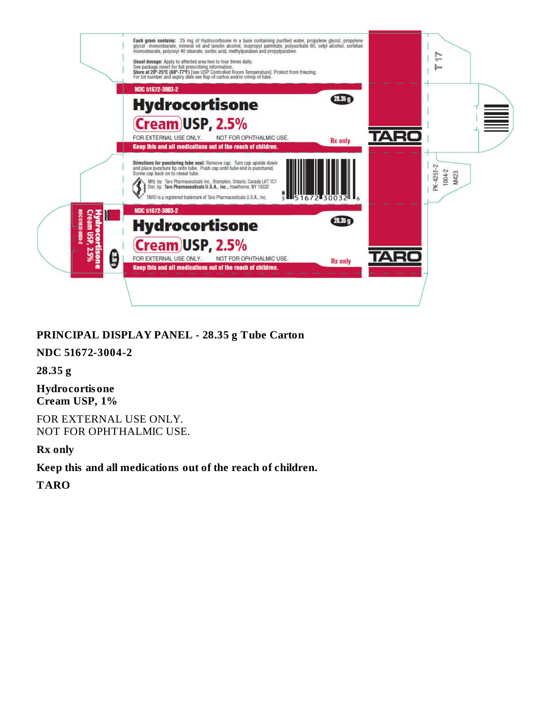

## **PRINCIPAL DISPLAY PANEL - 28.35 g Tube Carton**

#### **NDC 51672-3004-2**

**28.35 g**

**Hydrocortisone Cream USP, 1%**

FOR EXTERNAL USE ONLY. NOT FOR OPHTHALMIC USE.

**Rx only**

**Keep this and all medications out of the reach of children.**

**TARO**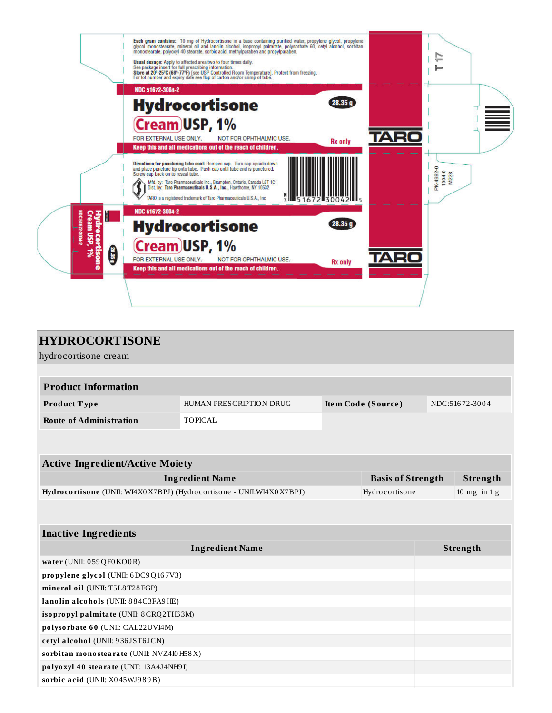

| <b>HYDROCORTISONE</b>                                                |                                               |                |                          |                |  |
|----------------------------------------------------------------------|-----------------------------------------------|----------------|--------------------------|----------------|--|
| hydrocortisone cream                                                 |                                               |                |                          |                |  |
|                                                                      |                                               |                |                          |                |  |
| <b>Product Information</b>                                           |                                               |                |                          |                |  |
| Product Type                                                         | HUMAN PRESCRIPTION DRUG<br>Item Code (Source) |                |                          | NDC:51672-3004 |  |
| <b>Route of Administration</b>                                       | <b>TOPICAL</b>                                |                |                          |                |  |
|                                                                      |                                               |                |                          |                |  |
|                                                                      |                                               |                |                          |                |  |
| <b>Active Ingredient/Active Moiety</b>                               |                                               |                |                          |                |  |
|                                                                      | <b>Ingredient Name</b>                        |                | <b>Basis of Strength</b> | Strength       |  |
| Hydrocortisone (UNII: WI4X0X7BPJ) (Hydrocortisone - UNII:WI4X0X7BPJ) |                                               | Hydrocortisone |                          | 10 mg in $1 g$ |  |
|                                                                      |                                               |                |                          |                |  |
|                                                                      |                                               |                |                          |                |  |
| <b>Inactive Ingredients</b>                                          |                                               |                |                          |                |  |
|                                                                      |                                               | Strength       |                          |                |  |
| water (UNII: 059QF0KO0R)                                             |                                               |                |                          |                |  |
| propylene glycol (UNII: 6DC9Q167V3)                                  |                                               |                |                          |                |  |
| mineral oil (UNII: T5L8T28FGP)                                       |                                               |                |                          |                |  |
| lanolin alcohols (UNII: 884C3FA9HE)                                  |                                               |                |                          |                |  |
| isopropyl palmitate (UNII: 8CRQ2TH63M)                               |                                               |                |                          |                |  |
| polysorbate 60 (UNII: CAL22UVI4M)                                    |                                               |                |                          |                |  |
| cetyl alcohol (UNII: 936JST6JCN)                                     |                                               |                |                          |                |  |
| sorbitan monostearate (UNII: NVZ4I0H58X)                             |                                               |                |                          |                |  |
| polyoxyl 40 stearate (UNII: 13A4J4NH9I)                              |                                               |                |                          |                |  |
| sorbic acid (UNII: X045WJ989B)                                       |                                               |                |                          |                |  |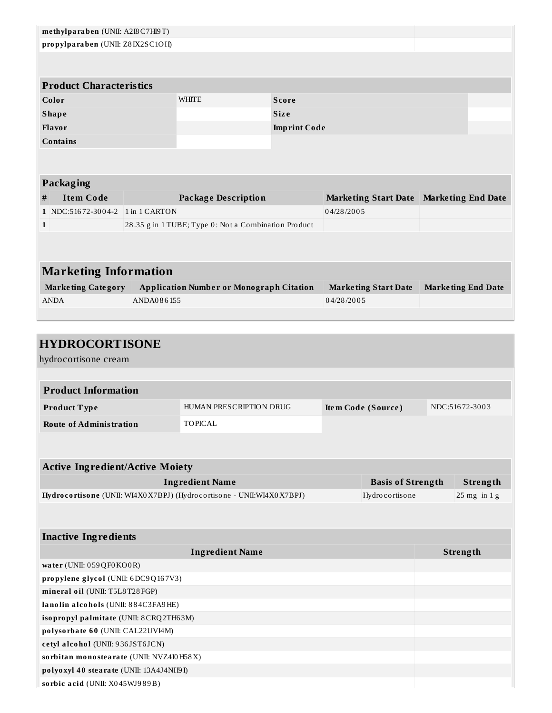| methylparaben (UNII: A2I8C7HI9T)        |  |  |  |  |  |
|-----------------------------------------|--|--|--|--|--|
|                                         |  |  |  |  |  |
|                                         |  |  |  |  |  |
|                                         |  |  |  |  |  |
|                                         |  |  |  |  |  |
|                                         |  |  |  |  |  |
|                                         |  |  |  |  |  |
|                                         |  |  |  |  |  |
|                                         |  |  |  |  |  |
|                                         |  |  |  |  |  |
|                                         |  |  |  |  |  |
|                                         |  |  |  |  |  |
| Marketing Start Date Marketing End Date |  |  |  |  |  |
|                                         |  |  |  |  |  |
|                                         |  |  |  |  |  |
|                                         |  |  |  |  |  |
|                                         |  |  |  |  |  |
| <b>Marketing Information</b>            |  |  |  |  |  |
| <b>Marketing End Date</b>               |  |  |  |  |  |
|                                         |  |  |  |  |  |
|                                         |  |  |  |  |  |
|                                         |  |  |  |  |  |
| <b>HYDROCORTISONE</b>                   |  |  |  |  |  |
| hydrocortisone cream                    |  |  |  |  |  |
|                                         |  |  |  |  |  |

| <b>Product Information</b> |                         |                    |                |  |  |
|----------------------------|-------------------------|--------------------|----------------|--|--|
| <b>Product Type</b>        | HUMAN PRESCRIPTION DRUG | Item Code (Source) | NDC:51672-3003 |  |  |
| Route of Administration    | TOPICAL                 |                    |                |  |  |

| <b>Active Ingredient/Active Moiety</b>                               |                          |  |                 |  |  |
|----------------------------------------------------------------------|--------------------------|--|-----------------|--|--|
| <b>Ingredient Name</b>                                               | <b>Basis of Strength</b> |  | Strength        |  |  |
| Hydrocortisone (UNII: WI4X0X7BPJ) (Hydrocortisone - UNII:WI4X0X7BPJ) | Hydrocortisone           |  | $25$ mg in 1 g  |  |  |
|                                                                      |                          |  |                 |  |  |
|                                                                      |                          |  |                 |  |  |
| <b>Inactive Ingredients</b>                                          |                          |  |                 |  |  |
| <b>Ingredient Name</b>                                               |                          |  | <b>Strength</b> |  |  |
| water (UNII: $059QF0KO0R$ )                                          |                          |  |                 |  |  |
| propylene glycol (UNII: $6DC9Q167V3$ )                               |                          |  |                 |  |  |
| mineral oil (UNII: T5L8T28FGP)                                       |                          |  |                 |  |  |
| lanolin alcohols (UNII: 884C3FA9HE)                                  |                          |  |                 |  |  |
| isopropyl palmitate (UNII: 8CRQ2TH63M)                               |                          |  |                 |  |  |
| polysorbate 60 (UNII: CAL22UVI4M)                                    |                          |  |                 |  |  |
| cetyl alcohol (UNII: 936JST6JCN)                                     |                          |  |                 |  |  |
| sorbitan monostearate (UNII: NVZ4I0H58X)                             |                          |  |                 |  |  |
| polyoxyl 40 stearate (UNII: 13A4J4NH9I)                              |                          |  |                 |  |  |
| sorbic acid (UNII: X045WJ989B)                                       |                          |  |                 |  |  |

**so rbic a cid** (UNII: X0 45WJ9 8 9B)

**Communication**